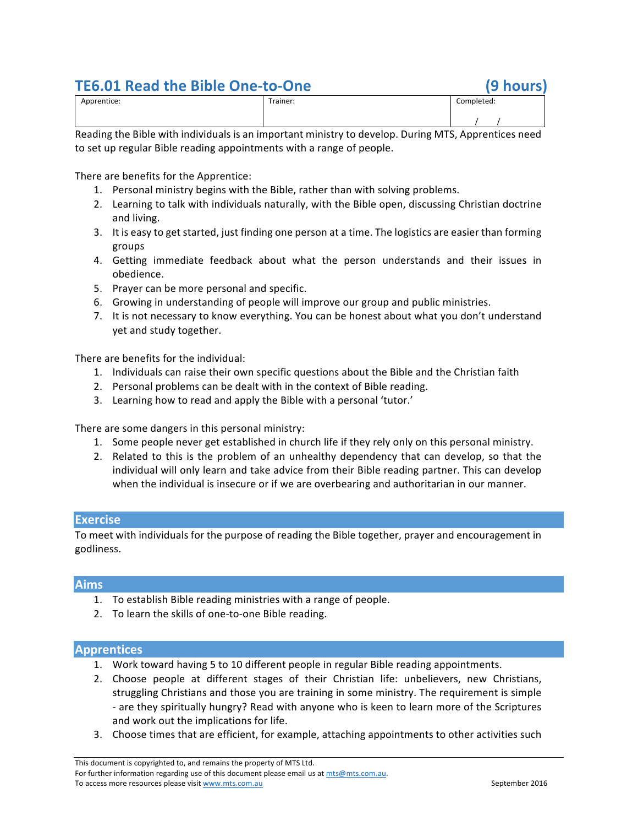# **TE6.01 Read the Bible One-to-One (9 hours)**

| Apprentice: | -<br>Trainer:<br>. | Completed:<br>. |
|-------------|--------------------|-----------------|
|             |                    |                 |

Reading the Bible with individuals is an important ministry to develop. During MTS, Apprentices need to set up regular Bible reading appointments with a range of people.

There are benefits for the Apprentice:

- 1. Personal ministry begins with the Bible, rather than with solving problems.
- 2. Learning to talk with individuals naturally, with the Bible open, discussing Christian doctrine and living.
- 3. It is easy to get started, just finding one person at a time. The logistics are easier than forming groups
- 4. Getting immediate feedback about what the person understands and their issues in obedience.
- 5. Prayer can be more personal and specific.
- 6. Growing in understanding of people will improve our group and public ministries.
- 7. It is not necessary to know everything. You can be honest about what you don't understand yet and study together.

There are benefits for the individual:

- 1. Individuals can raise their own specific questions about the Bible and the Christian faith
- 2. Personal problems can be dealt with in the context of Bible reading.
- 3. Learning how to read and apply the Bible with a personal 'tutor.'

There are some dangers in this personal ministry:

- 1. Some people never get established in church life if they rely only on this personal ministry.
- 2. Related to this is the problem of an unhealthy dependency that can develop, so that the individual will only learn and take advice from their Bible reading partner. This can develop when the individual is insecure or if we are overbearing and authoritarian in our manner.

# **Exercise**

To meet with individuals for the purpose of reading the Bible together, prayer and encouragement in godliness.

# **Aims**

- 1. To establish Bible reading ministries with a range of people.
- 2. To learn the skills of one-to-one Bible reading.

# **Apprentices**

- 1. Work toward having 5 to 10 different people in regular Bible reading appointments.
- 2. Choose people at different stages of their Christian life: unbelievers, new Christians, struggling Christians and those you are training in some ministry. The requirement is simple - are they spiritually hungry? Read with anyone who is keen to learn more of the Scriptures and work out the implications for life.
- 3. Choose times that are efficient, for example, attaching appointments to other activities such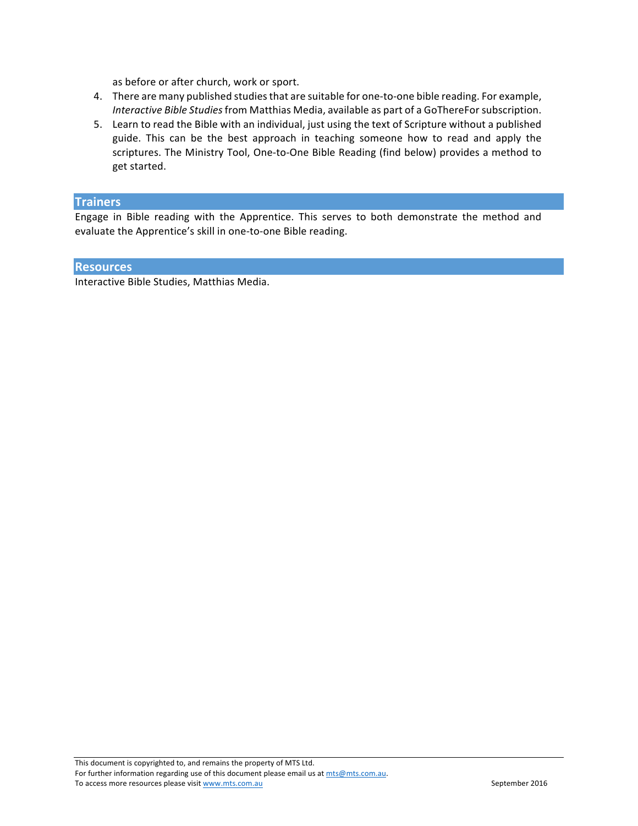as before or after church, work or sport.

- 4. There are many published studies that are suitable for one-to-one bible reading. For example, *Interactive Bible Studies* from Matthias Media, available as part of a GoThereFor subscription.
- 5. Learn to read the Bible with an individual, just using the text of Scripture without a published guide. This can be the best approach in teaching someone how to read and apply the scriptures. The Ministry Tool, One-to-One Bible Reading (find below) provides a method to get started.

# **Trainers**

Engage in Bible reading with the Apprentice. This serves to both demonstrate the method and evaluate the Apprentice's skill in one-to-one Bible reading.

#### **Resources**

Interactive Bible Studies, Matthias Media.